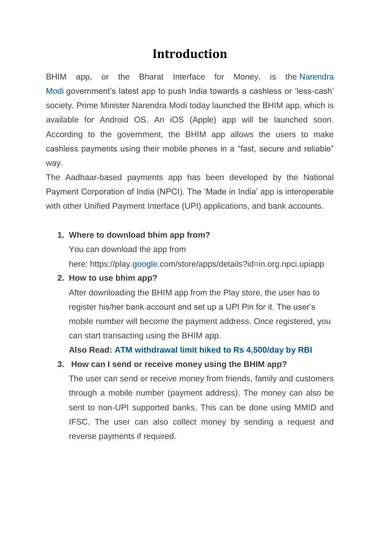# **Introduction**

BHIM app, or the Bharat Interface for Money, is the [Narendra](http://www.financialexpress.com/tag/narendra-modi/)  [Modi](http://www.financialexpress.com/tag/narendra-modi/) government's latest app to push India towards a cashless or 'less-cash' society. Prime Minister Narendra Modi today launched the BHIM app, which is available for Android OS. An iOS (Apple) app will be launched soon. According to the government, the BHIM app allows the users to make cashless payments using their mobile phones in a "fast, secure and reliable" way.

The Aadhaar-based payments app has been developed by the National Payment Corporation of India (NPCI). The 'Made in India' app is interoperable with other Unified Payment Interface (UPI) applications, and bank accounts.

### **1. Where to download bhim app from?**

You can download the app from

here: https://play[.google.](http://www.financialexpress.com/tag/google/)com/store/apps/details?id=in.org.npci.upiapp

#### **2. How to use bhim app?**

After downloading the BHIM app from the Play store, the user has to register his/her bank account and set up a UPI Pin for it. The user's mobile number will become the payment address. Once registered, you can start transacting using the BHIM app.

**Also Read: ATM [withdrawal](http://www.financialexpress.com/industry/banking-finance/atm-withdrawal-limit-hiked-to-rs-4500day-by-rbi/491734/) limit hiked to Rs 4,500/day by RBI**

#### **3. How can I send or receive money using the BHIM app?**

The user can send or receive money from friends, family and customers through a mobile number (payment address). The money can also be sent to non-UPI supported banks. This can be done using MMID and IFSC. The user can also collect money by sending a request and reverse payments if required.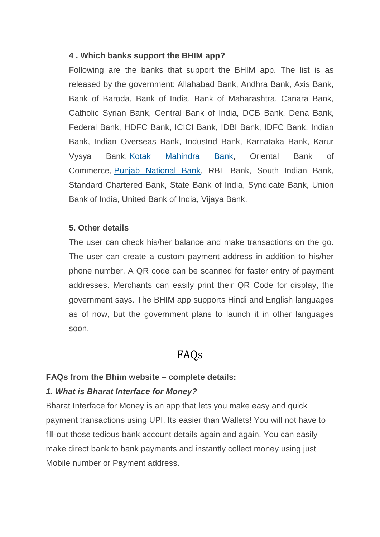#### **4 . Which banks support the BHIM app?**

Following are the banks that support the BHIM app. The list is as released by the government: Allahabad Bank, Andhra Bank, Axis Bank, Bank of Baroda, Bank of India, Bank of Maharashtra, Canara Bank, Catholic Syrian Bank, Central Bank of India, DCB Bank, Dena Bank, Federal Bank, HDFC Bank, ICICI Bank, IDBI Bank, IDFC Bank, Indian Bank, Indian Overseas Bank, IndusInd Bank, Karnataka Bank, Karur Vysya Bank, [Kotak Mahindra Bank,](http://www.financialexpress.com/tag/kotak-mahindra-bank/) Oriental Bank of Commerce, [Punjab National Bank,](http://www.financialexpress.com/tag/punjab-national-bank/) RBL Bank, South Indian Bank, Standard Chartered Bank, State Bank of India, Syndicate Bank, Union Bank of India, United Bank of India, Vijaya Bank.

#### **5. Other details**

The user can check his/her balance and make transactions on the go. The user can create a custom payment address in addition to his/her phone number. A QR code can be scanned for faster entry of payment addresses. Merchants can easily print their QR Code for display, the government says. The BHIM app supports Hindi and English languages as of now, but the government plans to launch it in other languages soon.

# FAQs

#### **FAQs from the Bhim website – complete details:**

#### *1. What is Bharat Interface for Money?*

Bharat Interface for Money is an app that lets you make easy and quick payment transactions using UPI. Its easier than Wallets! You will not have to fill-out those tedious bank account details again and again. You can easily make direct bank to bank payments and instantly collect money using just Mobile number or Payment address.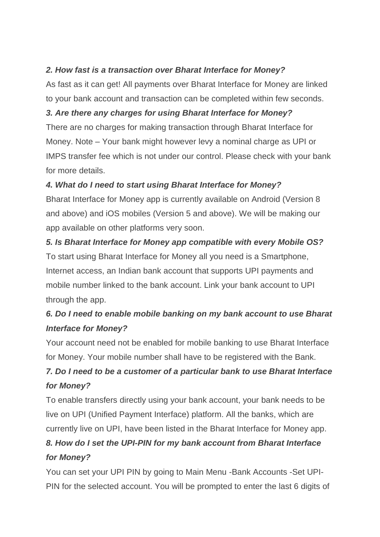### *2. How fast is a transaction over Bharat Interface for Money?*

As fast as it can get! All payments over Bharat Interface for Money are linked to your bank account and transaction can be completed within few seconds.

## *3. Are there any charges for using Bharat Interface for Money?*

There are no charges for making transaction through Bharat Interface for Money. Note – Your bank might however levy a nominal charge as UPI or IMPS transfer fee which is not under our control. Please check with your bank for more details.

## *4. What do I need to start using Bharat Interface for Money?*

Bharat Interface for Money app is currently available on Android (Version 8 and above) and iOS mobiles (Version 5 and above). We will be making our app available on other platforms very soon.

# *5. Is Bharat Interface for Money app compatible with every Mobile OS?* To start using Bharat Interface for Money all you need is a Smartphone, Internet access, an Indian bank account that supports UPI payments and mobile number linked to the bank account. Link your bank account to UPI through the app.

# *6. Do I need to enable mobile banking on my bank account to use Bharat Interface for Money?*

Your account need not be enabled for mobile banking to use Bharat Interface for Money. Your mobile number shall have to be registered with the Bank.

# *7. Do I need to be a customer of a particular bank to use Bharat Interface for Money?*

To enable transfers directly using your bank account, your bank needs to be live on UPI (Unified Payment Interface) platform. All the banks, which are currently live on UPI, have been listed in the Bharat Interface for Money app.

# *8. How do I set the UPI-PIN for my bank account from Bharat Interface for Money?*

You can set your UPI PIN by going to Main Menu -Bank Accounts -Set UPI-PIN for the selected account. You will be prompted to enter the last 6 digits of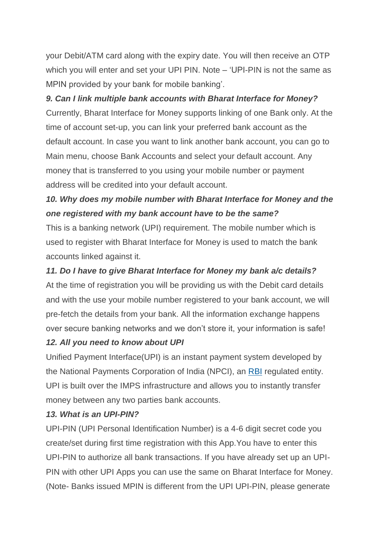your Debit/ATM card along with the expiry date. You will then receive an OTP which you will enter and set your UPI PIN. Note – 'UPI-PIN is not the same as MPIN provided by your bank for mobile banking'.

#### *9. Can I link multiple bank accounts with Bharat Interface for Money?*

Currently, Bharat Interface for Money supports linking of one Bank only. At the time of account set-up, you can link your preferred bank account as the default account. In case you want to link another bank account, you can go to Main menu, choose Bank Accounts and select your default account. Any money that is transferred to you using your mobile number or payment address will be credited into your default account.

# *10. Why does my mobile number with Bharat Interface for Money and the one registered with my bank account have to be the same?*

This is a banking network (UPI) requirement. The mobile number which is used to register with Bharat Interface for Money is used to match the bank accounts linked against it.

### *11. Do I have to give Bharat Interface for Money my bank a/c details?*

At the time of registration you will be providing us with the Debit card details and with the use your mobile number registered to your bank account, we will pre-fetch the details from your bank. All the information exchange happens over secure banking networks and we don't store it, your information is safe!

#### *12. All you need to know about UPI*

Unified Payment Interface(UPI) is an instant payment system developed by the National Payments Corporation of India (NPCI), an [RBI](http://www.financialexpress.com/tag/rbi/) regulated entity. UPI is built over the IMPS infrastructure and allows you to instantly transfer money between any two parties bank accounts.

#### *13. What is an UPI-PIN?*

UPI-PIN (UPI Personal Identification Number) is a 4-6 digit secret code you create/set during first time registration with this App.You have to enter this UPI-PIN to authorize all bank transactions. If you have already set up an UPI-PIN with other UPI Apps you can use the same on Bharat Interface for Money. (Note- Banks issued MPIN is different from the UPI UPI-PIN, please generate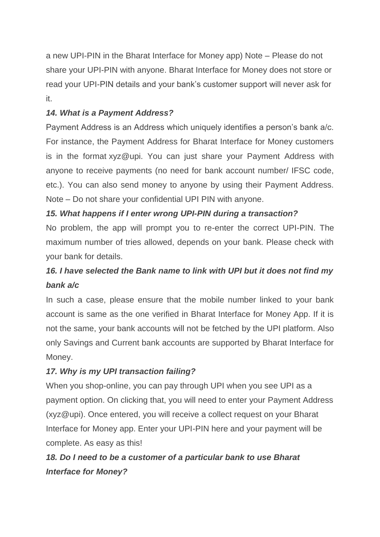a new UPI-PIN in the Bharat Interface for Money app) Note – Please do not share your UPI-PIN with anyone. Bharat Interface for Money does not store or read your UPI-PIN details and your bank's customer support will never ask for it.

### *14. What is a Payment Address?*

Payment Address is an Address which uniquely identifies a person's bank a/c. For instance, the Payment Address for Bharat Interface for Money customers is in the format xyz@upi. You can just share your Payment Address with anyone to receive payments (no need for bank account number/ IFSC code, etc.). You can also send money to anyone by using their Payment Address. Note – Do not share your confidential UPI PIN with anyone.

### *15. What happens if I enter wrong UPI-PIN during a transaction?*

No problem, the app will prompt you to re-enter the correct UPI-PIN. The maximum number of tries allowed, depends on your bank. Please check with your bank for details.

# *16. I have selected the Bank name to link with UPI but it does not find my bank a/c*

In such a case, please ensure that the mobile number linked to your bank account is same as the one verified in Bharat Interface for Money App. If it is not the same, your bank accounts will not be fetched by the UPI platform. Also only Savings and Current bank accounts are supported by Bharat Interface for Money.

### *17. Why is my UPI transaction failing?*

When you shop-online, you can pay through UPI when you see UPI as a payment option. On clicking that, you will need to enter your Payment Address (xyz@upi). Once entered, you will receive a collect request on your Bharat Interface for Money app. Enter your UPI-PIN here and your payment will be complete. As easy as this!

# *18. Do I need to be a customer of a particular bank to use Bharat Interface for Money?*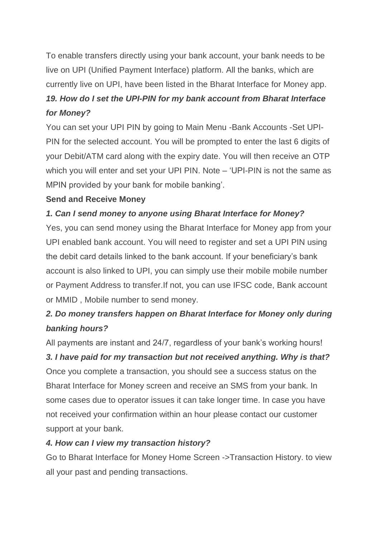To enable transfers directly using your bank account, your bank needs to be live on UPI (Unified Payment Interface) platform. All the banks, which are currently live on UPI, have been listed in the Bharat Interface for Money app.

# *19. How do I set the UPI-PIN for my bank account from Bharat Interface for Money?*

You can set your UPI PIN by going to Main Menu -Bank Accounts -Set UPI-PIN for the selected account. You will be prompted to enter the last 6 digits of your Debit/ATM card along with the expiry date. You will then receive an OTP which you will enter and set your UPI PIN. Note – 'UPI-PIN is not the same as MPIN provided by your bank for mobile banking'.

### **Send and Receive Money**

### *1. Can I send money to anyone using Bharat Interface for Money?*

Yes, you can send money using the Bharat Interface for Money app from your UPI enabled bank account. You will need to register and set a UPI PIN using the debit card details linked to the bank account. If your beneficiary's bank account is also linked to UPI, you can simply use their mobile mobile number or Payment Address to transfer.If not, you can use IFSC code, Bank account or MMID , Mobile number to send money.

# *2. Do money transfers happen on Bharat Interface for Money only during banking hours?*

All payments are instant and 24/7, regardless of your bank's working hours!

# *3. I have paid for my transaction but not received anything. Why is that?*

Once you complete a transaction, you should see a success status on the Bharat Interface for Money screen and receive an SMS from your bank. In some cases due to operator issues it can take longer time. In case you have not received your confirmation within an hour please contact our customer support at your bank.

### *4. How can I view my transaction history?*

Go to Bharat Interface for Money Home Screen ->Transaction History. to view all your past and pending transactions.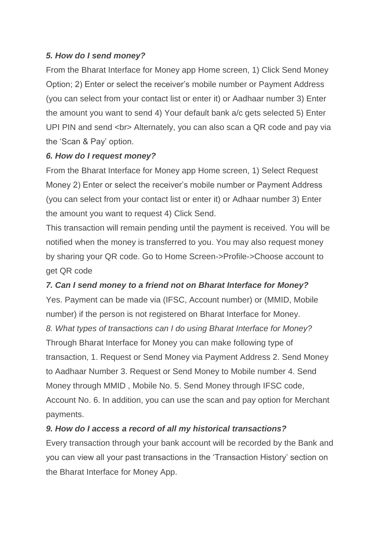### *5. How do I send money?*

From the Bharat Interface for Money app Home screen, 1) Click Send Money Option; 2) Enter or select the receiver's mobile number or Payment Address (you can select from your contact list or enter it) or Aadhaar number 3) Enter the amount you want to send 4) Your default bank a/c gets selected 5) Enter UPI PIN and send <br> Alternately, you can also scan a QR code and pay via the 'Scan & Pay' option.

### *6. How do I request money?*

From the Bharat Interface for Money app Home screen, 1) Select Request Money 2) Enter or select the receiver's mobile number or Payment Address (you can select from your contact list or enter it) or Adhaar number 3) Enter the amount you want to request 4) Click Send.

This transaction will remain pending until the payment is received. You will be notified when the money is transferred to you. You may also request money by sharing your QR code. Go to Home Screen->Profile->Choose account to get QR code

### *7. Can I send money to a friend not on Bharat Interface for Money?*

Yes. Payment can be made via (IFSC, Account number) or (MMID, Mobile number) if the person is not registered on Bharat Interface for Money. *8. What types of transactions can I do using Bharat Interface for Money?* Through Bharat Interface for Money you can make following type of transaction, 1. Request or Send Money via Payment Address 2. Send Money to Aadhaar Number 3. Request or Send Money to Mobile number 4. Send Money through MMID , Mobile No. 5. Send Money through IFSC code, Account No. 6. In addition, you can use the scan and pay option for Merchant payments.

### *9. How do I access a record of all my historical transactions?*

Every transaction through your bank account will be recorded by the Bank and you can view all your past transactions in the 'Transaction History' section on the Bharat Interface for Money App.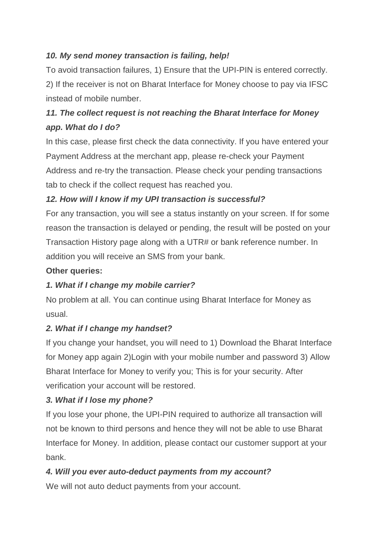# *10. My send money transaction is failing, help!*

To avoid transaction failures, 1) Ensure that the UPI-PIN is entered correctly. 2) If the receiver is not on Bharat Interface for Money choose to pay via IFSC instead of mobile number.

# *11. The collect request is not reaching the Bharat Interface for Money app. What do I do?*

In this case, please first check the data connectivity. If you have entered your Payment Address at the merchant app, please re-check your Payment Address and re-try the transaction. Please check your pending transactions tab to check if the collect request has reached you.

# *12. How will I know if my UPI transaction is successful?*

For any transaction, you will see a status instantly on your screen. If for some reason the transaction is delayed or pending, the result will be posted on your Transaction History page along with a UTR# or bank reference number. In addition you will receive an SMS from your bank.

### **Other queries:**

## *1. What if I change my mobile carrier?*

No problem at all. You can continue using Bharat Interface for Money as usual.

## *2. What if I change my handset?*

If you change your handset, you will need to 1) Download the Bharat Interface for Money app again 2)Login with your mobile number and password 3) Allow Bharat Interface for Money to verify you; This is for your security. After verification your account will be restored.

## *3. What if I lose my phone?*

If you lose your phone, the UPI-PIN required to authorize all transaction will not be known to third persons and hence they will not be able to use Bharat Interface for Money. In addition, please contact our customer support at your bank.

## *4. Will you ever auto-deduct payments from my account?*

We will not auto deduct payments from your account.